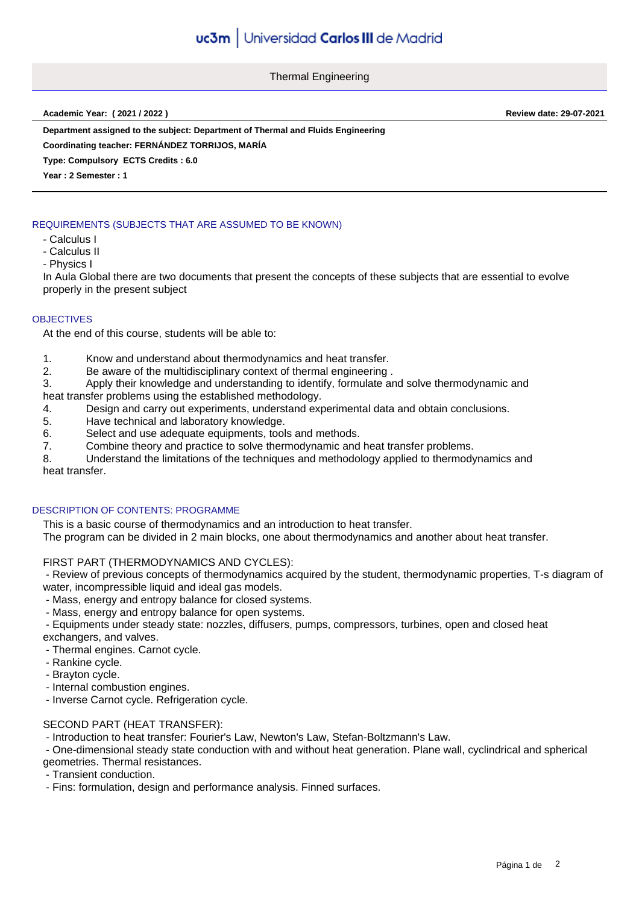Thermal Engineering

**Academic Year: ( 2021 / 2022 ) Review date: 29-07-2021**

**Department assigned to the subject: Department of Thermal and Fluids Engineering**

**Coordinating teacher: FERNÁNDEZ TORRIJOS, MARÍA**

**Type: Compulsory ECTS Credits : 6.0**

**Year : 2 Semester : 1**

## REQUIREMENTS (SUBJECTS THAT ARE ASSUMED TO BE KNOWN)

- Calculus I
- Calculus II
- Physics I

In Aula Global there are two documents that present the concepts of these subjects that are essential to evolve properly in the present subject

#### **OBJECTIVES**

At the end of this course, students will be able to:

- 1. Know and understand about thermodynamics and heat transfer.
- 2. Be aware of the multidisciplinary context of thermal engineering .
- 3. Apply their knowledge and understanding to identify, formulate and solve thermodynamic and

heat transfer problems using the established methodology.

- 4. Design and carry out experiments, understand experimental data and obtain conclusions.
- 5. Have technical and laboratory knowledge.
- 6. Select and use adequate equipments, tools and methods.
- 7. Combine theory and practice to solve thermodynamic and heat transfer problems.
- 8. Understand the limitations of the techniques and methodology applied to thermodynamics and heat transfer.

### DESCRIPTION OF CONTENTS: PROGRAMME

This is a basic course of thermodynamics and an introduction to heat transfer.

The program can be divided in 2 main blocks, one about thermodynamics and another about heat transfer.

### FIRST PART (THERMODYNAMICS AND CYCLES):

 - Review of previous concepts of thermodynamics acquired by the student, thermodynamic properties, T-s diagram of water, incompressible liquid and ideal gas models.

- Mass, energy and entropy balance for closed systems.
- Mass, energy and entropy balance for open systems.

 - Equipments under steady state: nozzles, diffusers, pumps, compressors, turbines, open and closed heat exchangers, and valves.

- Thermal engines. Carnot cycle.

- Rankine cycle.
- Brayton cycle.
- Internal combustion engines.

- Inverse Carnot cycle. Refrigeration cycle.

### SECOND PART (HEAT TRANSFER):

- Introduction to heat transfer: Fourier's Law, Newton's Law, Stefan-Boltzmann's Law.

 - One-dimensional steady state conduction with and without heat generation. Plane wall, cyclindrical and spherical geometries. Thermal resistances.

- Transient conduction.
- Fins: formulation, design and performance analysis. Finned surfaces.